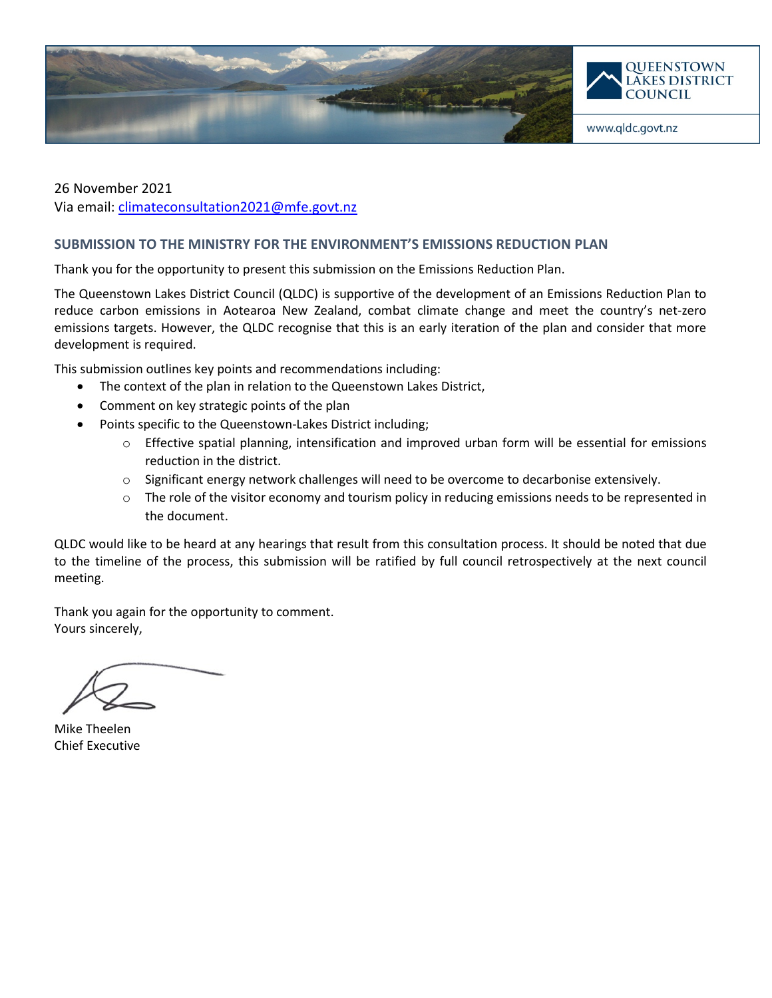

26 November 2021 Via email: [climateconsultation2021@mfe.govt.nz](mailto:climateconsultation2021@mfe.govt.nz)

# **SUBMISSION TO THE MINISTRY FOR THE ENVIRONMENT'S EMISSIONS REDUCTION PLAN**

Thank you for the opportunity to present this submission on the Emissions Reduction Plan.

The Queenstown Lakes District Council (QLDC) is supportive of the development of an Emissions Reduction Plan to reduce carbon emissions in Aotearoa New Zealand, combat climate change and meet the country's net-zero emissions targets. However, the QLDC recognise that this is an early iteration of the plan and consider that more development is required.

This submission outlines key points and recommendations including:

- The context of the plan in relation to the Queenstown Lakes District,
- Comment on key strategic points of the plan
- Points specific to the Queenstown-Lakes District including;
	- $\circ$  Effective spatial planning, intensification and improved urban form will be essential for emissions reduction in the district.
	- o Significant energy network challenges will need to be overcome to decarbonise extensively.
	- $\circ$  The role of the visitor economy and tourism policy in reducing emissions needs to be represented in the document.

QLDC would like to be heard at any hearings that result from this consultation process. It should be noted that due to the timeline of the process, this submission will be ratified by full council retrospectively at the next council meeting.

Thank you again for the opportunity to comment. Yours sincerely,

Mike Theelen Chief Executive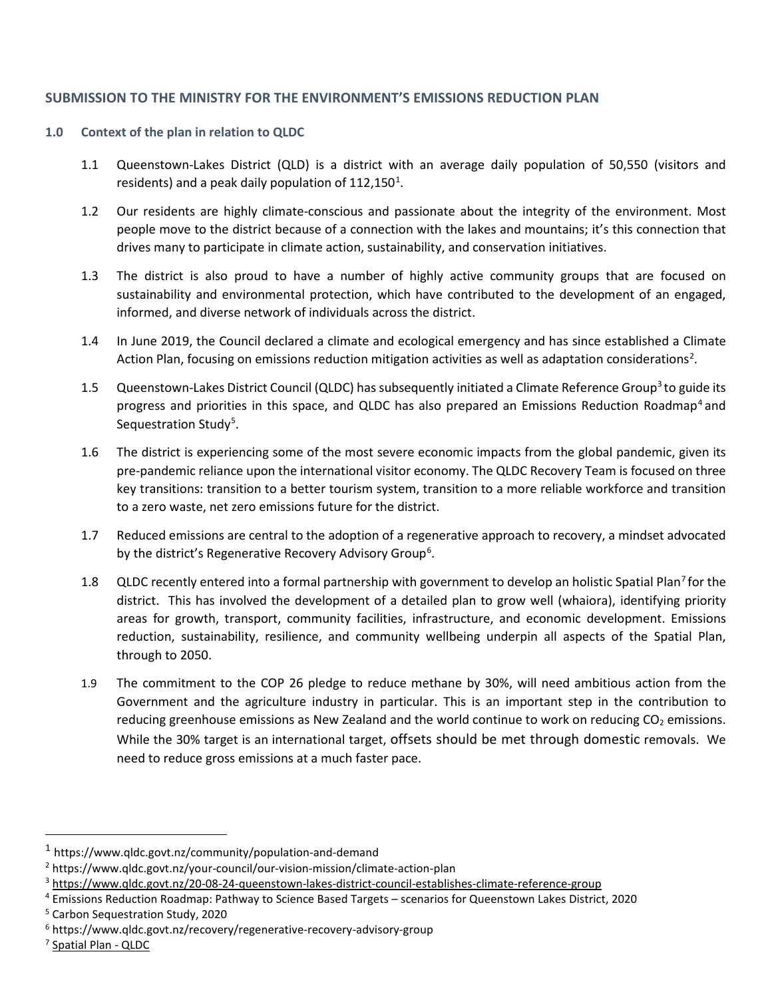# **SUBMISSION TO THE MINISTRY FOR THE ENVIRONMENT'S EMISSIONS REDUCTION PLAN**

## **1.0 Context of the plan in relation to QLDC**

- 1.1 Queenstown-Lakes District (QLD) is a district with an average daily population of 50,550 (visitors and residents) and a peak daily population of  $112,150^1$  $112,150^1$ .
- 1.2 Our residents are highly climate-conscious and passionate about the integrity of the environment. Most people move to the district because of a connection with the lakes and mountains; it's this connection that drives many to participate in climate action, sustainability, and conservation initiatives.
- 1.3 The district is also proud to have a number of highly active community groups that are focused on sustainability and environmental protection, which have contributed to the development of an engaged, informed, and diverse network of individuals across the district.
- 1.4 In June 2019, the Council declared a climate and ecological emergency and has since established a Climate Action Plan, focusing on emissions reduction mitigation activities as well as adaptation considerations<sup>[2](#page-1-1)</sup>.
- 1.5 Queenstown-Lakes District Council (QLDC) has subsequently initiated a Climate Reference Group<sup>[3](#page-1-2)</sup> to guide its progress and priorities in this space, and QLDC has also prepared an Emissions Reduction Roadmap[4](#page-1-3) and Sequestration Study<sup>[5](#page-1-4)</sup>.
- 1.6 The district is experiencing some of the most severe economic impacts from the global pandemic, given its pre-pandemic reliance upon the international visitor economy. The QLDC Recovery Team is focused on three key transitions: transition to a better tourism system, transition to a more reliable workforce and transition to a zero waste, net zero emissions future for the district.
- 1.7 Reduced emissions are central to the adoption of a regenerative approach to recovery, a mindset advocated by the district's Regenerative Recovery Advisory Group<sup>[6](#page-1-5)</sup>.
- 1.8 QLDC recently entered into a formal partnership with government to develop an holistic Spatial Plan<sup>[7](#page-1-6)</sup> for the district. This has involved the development of a detailed plan to grow well (whaiora), identifying priority areas for growth, transport, community facilities, infrastructure, and economic development. Emissions reduction, sustainability, resilience, and community wellbeing underpin all aspects of the Spatial Plan, through to 2050.
- 1.9 The commitment to the COP 26 pledge to reduce methane by 30%, will need ambitious action from the Government and the agriculture industry in particular. This is an important step in the contribution to reducing greenhouse emissions as New Zealand and the world continue to work on reducing  $CO<sub>2</sub>$  emissions. While the 30% target is an international target, offsets should be met through domestic removals. We need to reduce gross emissions at a much faster pace.

<span id="page-1-0"></span><sup>1</sup> https://www.qldc.govt.nz/community/population-and-demand

<span id="page-1-1"></span><sup>2</sup> https://www.qldc.govt.nz/your-council/our-vision-mission/climate-action-plan

<span id="page-1-2"></span><sup>3</sup> <https://www.qldc.govt.nz/20-08-24-queenstown-lakes-district-council-establishes-climate-reference-group>

<span id="page-1-3"></span><sup>4</sup> Emissions Reduction Roadmap: Pathway to Science Based Targets – scenarios for Queenstown Lakes District, 2020

<span id="page-1-4"></span><sup>5</sup> Carbon Sequestration Study, 2020

<span id="page-1-5"></span><sup>6</sup> https://www.qldc.govt.nz/recovery/regenerative-recovery-advisory-group

<span id="page-1-6"></span><sup>7</sup> [Spatial Plan -](https://www.qldc.govt.nz/your-council/council-documents/queenstown-lakes-spatial-plan) QLDC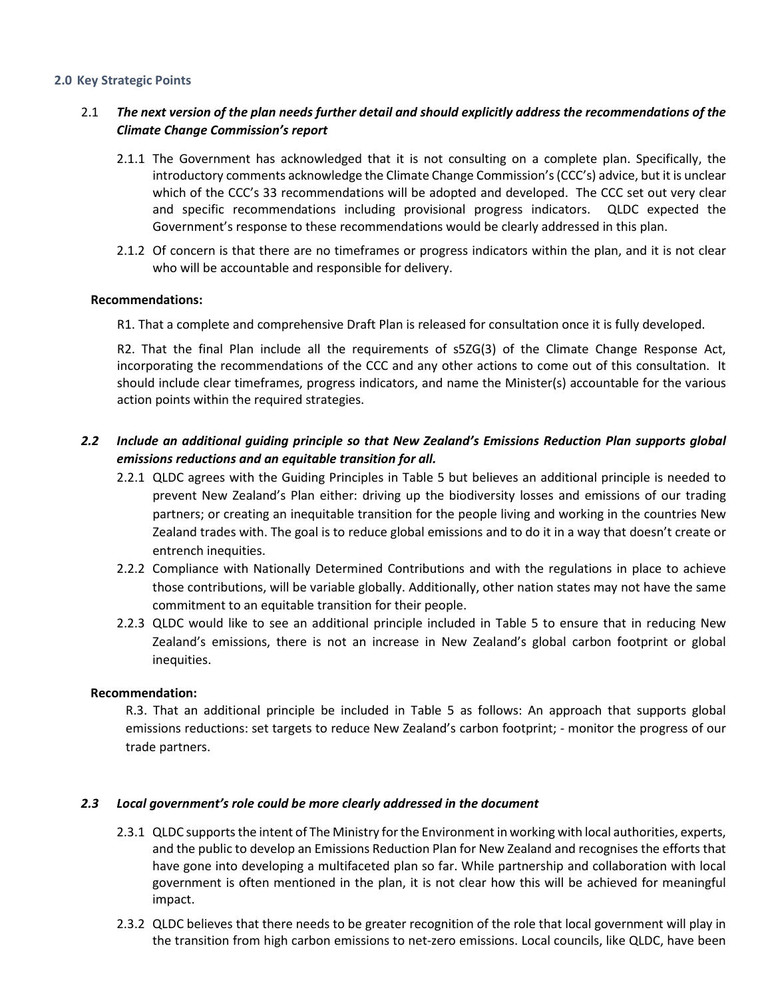### **2.0 Key Strategic Points**

# 2.1 *The next version of the plan needs further detail and should explicitly address the recommendations of the Climate Change Commission's report*

- 2.1.1 The Government has acknowledged that it is not consulting on a complete plan. Specifically, the introductory comments acknowledge the Climate Change Commission's (CCC's) advice, but it is unclear which of the CCC's 33 recommendations will be adopted and developed. The CCC set out very clear and specific recommendations including provisional progress indicators. QLDC expected the Government's response to these recommendations would be clearly addressed in this plan.
- 2.1.2 Of concern is that there are no timeframes or progress indicators within the plan, and it is not clear who will be accountable and responsible for delivery.

### **Recommendations:**

R1. That a complete and comprehensive Draft Plan is released for consultation once it is fully developed.

R2. That the final Plan include all the requirements of s5ZG(3) of the Climate Change Response Act, incorporating the recommendations of the CCC and any other actions to come out of this consultation. It should include clear timeframes, progress indicators, and name the Minister(s) accountable for the various action points within the required strategies.

# *2.2 Include an additional guiding principle so that New Zealand's Emissions Reduction Plan supports global emissions reductions and an equitable transition for all.*

- 2.2.1 QLDC agrees with the Guiding Principles in Table 5 but believes an additional principle is needed to prevent New Zealand's Plan either: driving up the biodiversity losses and emissions of our trading partners; or creating an inequitable transition for the people living and working in the countries New Zealand trades with. The goal is to reduce global emissions and to do it in a way that doesn't create or entrench inequities.
- 2.2.2 Compliance with Nationally Determined Contributions and with the regulations in place to achieve those contributions, will be variable globally. Additionally, other nation states may not have the same commitment to an equitable transition for their people.
- 2.2.3 QLDC would like to see an additional principle included in Table 5 to ensure that in reducing New Zealand's emissions, there is not an increase in New Zealand's global carbon footprint or global inequities.

#### **Recommendation:**

R.3. That an additional principle be included in Table 5 as follows: An approach that supports global emissions reductions: set targets to reduce New Zealand's carbon footprint; - monitor the progress of our trade partners.

## *2.3 Local government's role could be more clearly addressed in the document*

- 2.3.1 QLDC supports the intent of The Ministry for the Environment in working with local authorities, experts, and the public to develop an Emissions Reduction Plan for New Zealand and recognises the efforts that have gone into developing a multifaceted plan so far. While partnership and collaboration with local government is often mentioned in the plan, it is not clear how this will be achieved for meaningful impact.
- 2.3.2 QLDC believes that there needs to be greater recognition of the role that local government will play in the transition from high carbon emissions to net-zero emissions. Local councils, like QLDC, have been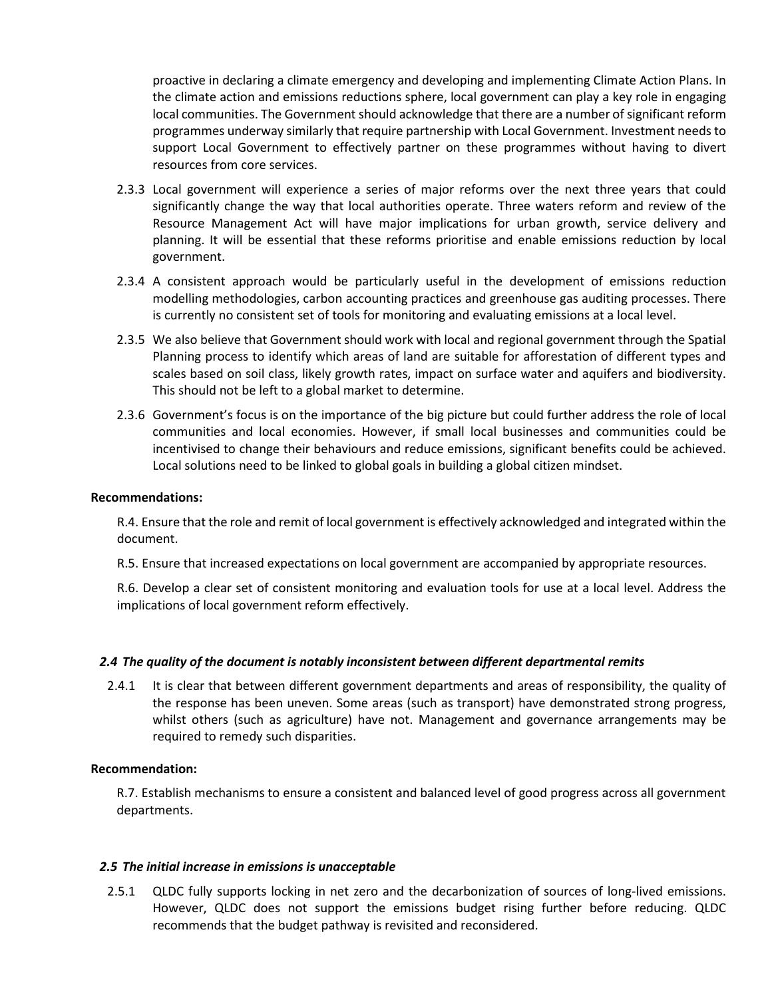proactive in declaring a climate emergency and developing and implementing Climate Action Plans. In the climate action and emissions reductions sphere, local government can play a key role in engaging local communities. The Government should acknowledge that there are a number of significant reform programmes underway similarly that require partnership with Local Government. Investment needs to support Local Government to effectively partner on these programmes without having to divert resources from core services.

- 2.3.3 Local government will experience a series of major reforms over the next three years that could significantly change the way that local authorities operate. Three waters reform and review of the Resource Management Act will have major implications for urban growth, service delivery and planning. It will be essential that these reforms prioritise and enable emissions reduction by local government.
- 2.3.4 A consistent approach would be particularly useful in the development of emissions reduction modelling methodologies, carbon accounting practices and greenhouse gas auditing processes. There is currently no consistent set of tools for monitoring and evaluating emissions at a local level.
- 2.3.5 We also believe that Government should work with local and regional government through the Spatial Planning process to identify which areas of land are suitable for afforestation of different types and scales based on soil class, likely growth rates, impact on surface water and aquifers and biodiversity. This should not be left to a global market to determine.
- 2.3.6 Government's focus is on the importance of the big picture but could further address the role of local communities and local economies. However, if small local businesses and communities could be incentivised to change their behaviours and reduce emissions, significant benefits could be achieved. Local solutions need to be linked to global goals in building a global citizen mindset.

#### **Recommendations:**

R.4. Ensure that the role and remit of local government is effectively acknowledged and integrated within the document.

R.5. Ensure that increased expectations on local government are accompanied by appropriate resources.

R.6. Develop a clear set of consistent monitoring and evaluation tools for use at a local level. Address the implications of local government reform effectively.

#### *2.4 The quality of the document is notably inconsistent between different departmental remits*

2.4.1 It is clear that between different government departments and areas of responsibility, the quality of the response has been uneven. Some areas (such as transport) have demonstrated strong progress, whilst others (such as agriculture) have not. Management and governance arrangements may be required to remedy such disparities.

#### **Recommendation:**

R.7. Establish mechanisms to ensure a consistent and balanced level of good progress across all government departments.

#### *2.5 The initial increase in emissions is unacceptable*

2.5.1 QLDC fully supports locking in net zero and the decarbonization of sources of long-lived emissions. However, QLDC does not support the emissions budget rising further before reducing. QLDC recommends that the budget pathway is revisited and reconsidered.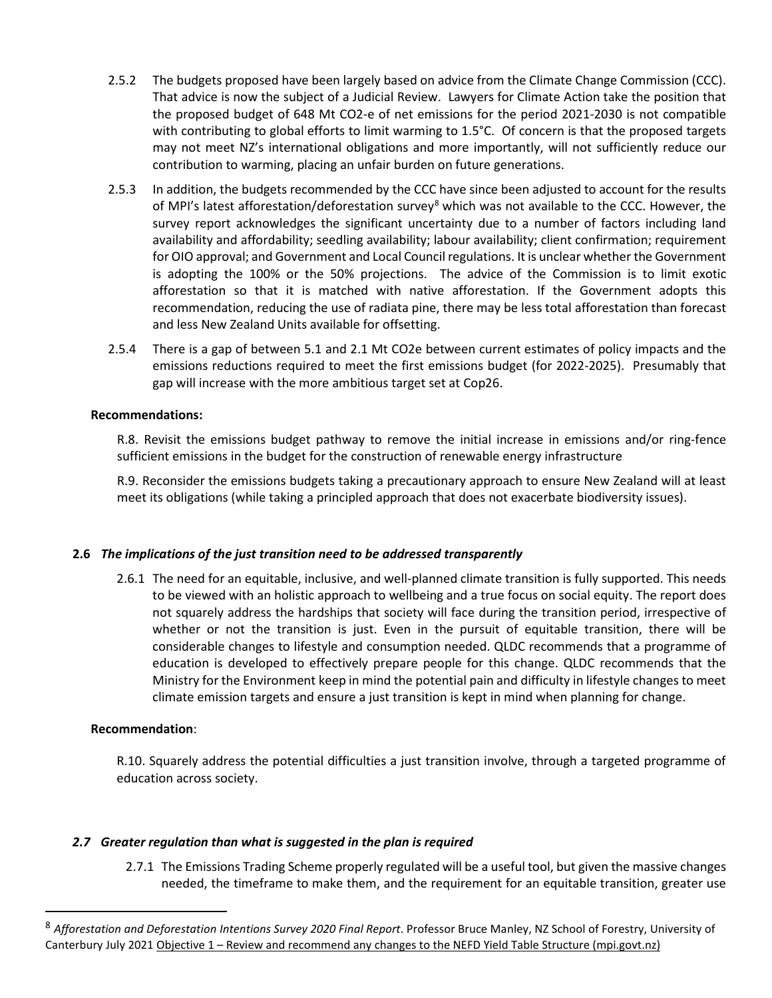- 2.5.2 The budgets proposed have been largely based on advice from the Climate Change Commission (CCC). That advice is now the subject of a Judicial Review. Lawyers for Climate Action take the position that the proposed budget of 648 Mt CO2-e of net emissions for the period 2021-2030 is not compatible with contributing to global efforts to limit warming to 1.5°C. Of concern is that the proposed targets may not meet NZ's international obligations and more importantly, will not sufficiently reduce our contribution to warming, placing an unfair burden on future generations.
- 2.5.3 In addition, the budgets recommended by the CCC have since been adjusted to account for the results of MPI's latest afforestation/deforestation survey<sup>[8](#page-4-0)</sup> which was not available to the CCC. However, the survey report acknowledges the significant uncertainty due to a number of factors including land availability and affordability; seedling availability; labour availability; client confirmation; requirement for OIO approval; and Government and Local Council regulations. It is unclear whether the Government is adopting the 100% or the 50% projections. The advice of the Commission is to limit exotic afforestation so that it is matched with native afforestation. If the Government adopts this recommendation, reducing the use of radiata pine, there may be less total afforestation than forecast and less New Zealand Units available for offsetting.
- 2.5.4 There is a gap of between 5.1 and 2.1 Mt CO2e between current estimates of policy impacts and the emissions reductions required to meet the first emissions budget (for 2022-2025). Presumably that gap will increase with the more ambitious target set at Cop26.

## **Recommendations:**

R.8. Revisit the emissions budget pathway to remove the initial increase in emissions and/or ring-fence sufficient emissions in the budget for the construction of renewable energy infrastructure

R.9. Reconsider the emissions budgets taking a precautionary approach to ensure New Zealand will at least meet its obligations (while taking a principled approach that does not exacerbate biodiversity issues).

## **2.6** *The implications of the just transition need to be addressed transparently*

2.6.1 The need for an equitable, inclusive, and well-planned climate transition is fully supported. This needs to be viewed with an holistic approach to wellbeing and a true focus on social equity. The report does not squarely address the hardships that society will face during the transition period, irrespective of whether or not the transition is just. Even in the pursuit of equitable transition, there will be considerable changes to lifestyle and consumption needed. QLDC recommends that a programme of education is developed to effectively prepare people for this change. QLDC recommends that the Ministry for the Environment keep in mind the potential pain and difficulty in lifestyle changes to meet climate emission targets and ensure a just transition is kept in mind when planning for change.

## **Recommendation**:

R.10. Squarely address the potential difficulties a just transition involve, through a targeted programme of education across society.

#### *2.7 Greater regulation than what is suggested in the plan is required*

2.7.1 The Emissions Trading Scheme properly regulated will be a useful tool, but given the massive changes needed, the timeframe to make them, and the requirement for an equitable transition, greater use

<span id="page-4-0"></span><sup>8</sup> *Afforestation and Deforestation Intentions Survey 2020 Final Report*. Professor Bruce Manley, NZ School of Forestry, University of Canterbury July 2021 Objective 1 – [Review and recommend any changes to the NEFD Yield Table Structure \(mpi.govt.nz\)](https://www.mpi.govt.nz/dmsdocument/46564-Afforestation-and-Deforestation-Intentions-Survey-2020)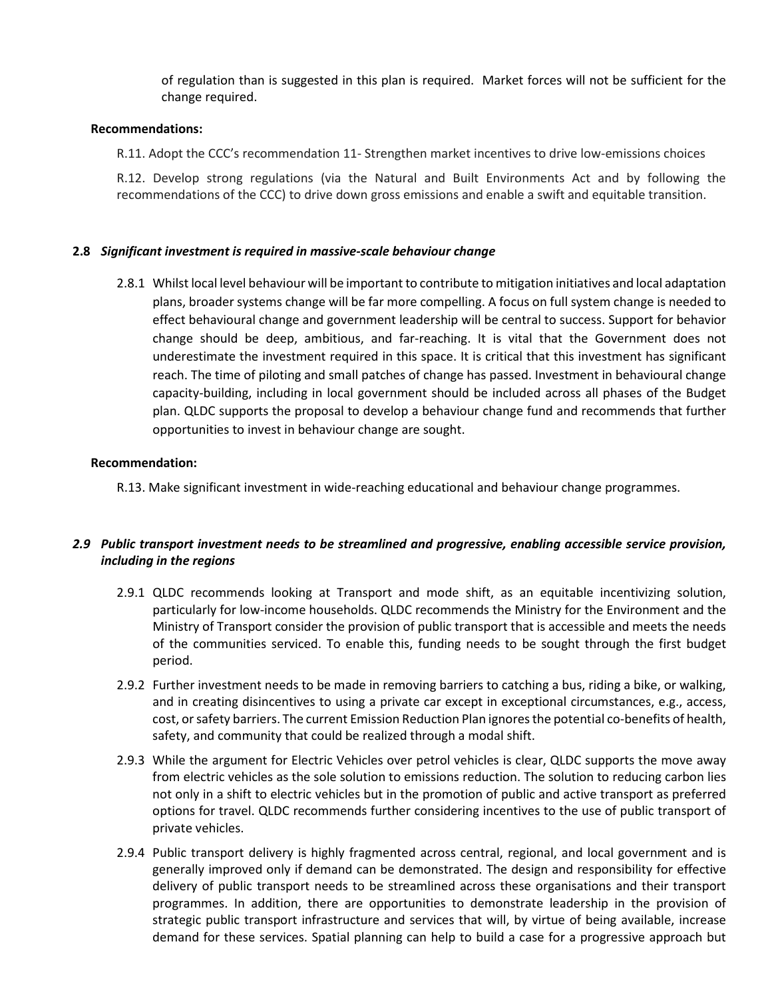of regulation than is suggested in this plan is required. Market forces will not be sufficient for the change required.

### **Recommendations:**

R.11. Adopt the CCC's recommendation 11- Strengthen market incentives to drive low-emissions choices

R.12. Develop strong regulations (via the Natural and Built Environments Act and by following the recommendations of the CCC) to drive down gross emissions and enable a swift and equitable transition.

### **2.8** *Significant investment is required in massive-scale behaviour change*

2.8.1 Whilst local level behaviour will be important to contribute to mitigation initiatives and local adaptation plans, broader systems change will be far more compelling. A focus on full system change is needed to effect behavioural change and government leadership will be central to success. Support for behavior change should be deep, ambitious, and far-reaching. It is vital that the Government does not underestimate the investment required in this space. It is critical that this investment has significant reach. The time of piloting and small patches of change has passed. Investment in behavioural change capacity-building, including in local government should be included across all phases of the Budget plan. QLDC supports the proposal to develop a behaviour change fund and recommends that further opportunities to invest in behaviour change are sought.

### **Recommendation:**

R.13. Make significant investment in wide-reaching educational and behaviour change programmes.

## *2.9 Public transport investment needs to be streamlined and progressive, enabling accessible service provision, including in the regions*

- 2.9.1 QLDC recommends looking at Transport and mode shift, as an equitable incentivizing solution, particularly for low-income households. QLDC recommends the Ministry for the Environment and the Ministry of Transport consider the provision of public transport that is accessible and meets the needs of the communities serviced. To enable this, funding needs to be sought through the first budget period.
- 2.9.2 Further investment needs to be made in removing barriers to catching a bus, riding a bike, or walking, and in creating disincentives to using a private car except in exceptional circumstances, e.g., access, cost, or safety barriers. The current Emission Reduction Plan ignores the potential co-benefits of health, safety, and community that could be realized through a modal shift.
- 2.9.3 While the argument for Electric Vehicles over petrol vehicles is clear, QLDC supports the move away from electric vehicles as the sole solution to emissions reduction. The solution to reducing carbon lies not only in a shift to electric vehicles but in the promotion of public and active transport as preferred options for travel. QLDC recommends further considering incentives to the use of public transport of private vehicles.
- 2.9.4 Public transport delivery is highly fragmented across central, regional, and local government and is generally improved only if demand can be demonstrated. The design and responsibility for effective delivery of public transport needs to be streamlined across these organisations and their transport programmes. In addition, there are opportunities to demonstrate leadership in the provision of strategic public transport infrastructure and services that will, by virtue of being available, increase demand for these services. Spatial planning can help to build a case for a progressive approach but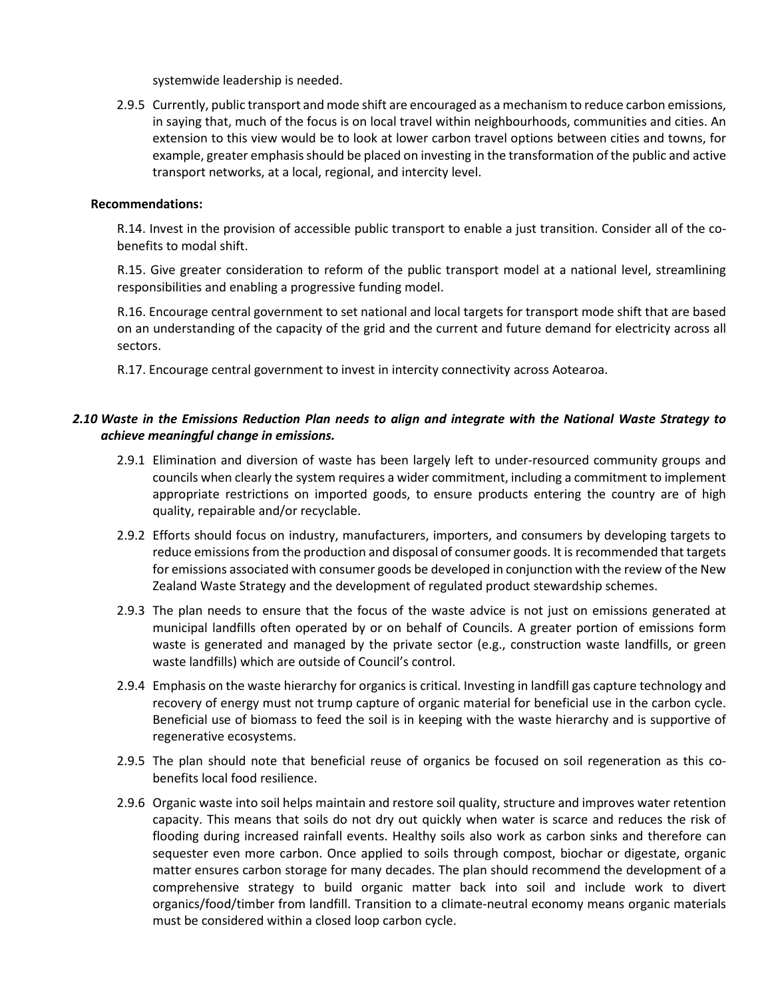systemwide leadership is needed.

2.9.5 Currently, public transport and mode shift are encouraged as a mechanism to reduce carbon emissions, in saying that, much of the focus is on local travel within neighbourhoods, communities and cities. An extension to this view would be to look at lower carbon travel options between cities and towns, for example, greater emphasis should be placed on investing in the transformation of the public and active transport networks, at a local, regional, and intercity level.

### **Recommendations:**

R.14. Invest in the provision of accessible public transport to enable a just transition. Consider all of the cobenefits to modal shift.

R.15. Give greater consideration to reform of the public transport model at a national level, streamlining responsibilities and enabling a progressive funding model.

R.16. Encourage central government to set national and local targets for transport mode shift that are based on an understanding of the capacity of the grid and the current and future demand for electricity across all sectors.

R.17. Encourage central government to invest in intercity connectivity across Aotearoa.

# *2.10 Waste in the Emissions Reduction Plan needs to align and integrate with the National Waste Strategy to achieve meaningful change in emissions.*

- 2.9.1 Elimination and diversion of waste has been largely left to under-resourced community groups and councils when clearly the system requires a wider commitment, including a commitment to implement appropriate restrictions on imported goods, to ensure products entering the country are of high quality, repairable and/or recyclable.
- 2.9.2 Efforts should focus on industry, manufacturers, importers, and consumers by developing targets to reduce emissions from the production and disposal of consumer goods. It is recommended that targets for emissions associated with consumer goods be developed in conjunction with the review of the New Zealand Waste Strategy and the development of regulated product stewardship schemes.
- 2.9.3 The plan needs to ensure that the focus of the waste advice is not just on emissions generated at municipal landfills often operated by or on behalf of Councils. A greater portion of emissions form waste is generated and managed by the private sector (e.g., construction waste landfills, or green waste landfills) which are outside of Council's control.
- 2.9.4 Emphasis on the waste hierarchy for organics is critical. Investing in landfill gas capture technology and recovery of energy must not trump capture of organic material for beneficial use in the carbon cycle. Beneficial use of biomass to feed the soil is in keeping with the waste hierarchy and is supportive of regenerative ecosystems.
- 2.9.5 The plan should note that beneficial reuse of organics be focused on soil regeneration as this cobenefits local food resilience.
- 2.9.6 Organic waste into soil helps maintain and restore soil quality, structure and improves water retention capacity. This means that soils do not dry out quickly when water is scarce and reduces the risk of flooding during increased rainfall events. Healthy soils also work as carbon sinks and therefore can sequester even more carbon. Once applied to soils through compost, biochar or digestate, organic matter ensures carbon storage for many decades. The plan should recommend the development of a comprehensive strategy to build organic matter back into soil and include work to divert organics/food/timber from landfill. Transition to a climate-neutral economy means organic materials must be considered within a closed loop carbon cycle.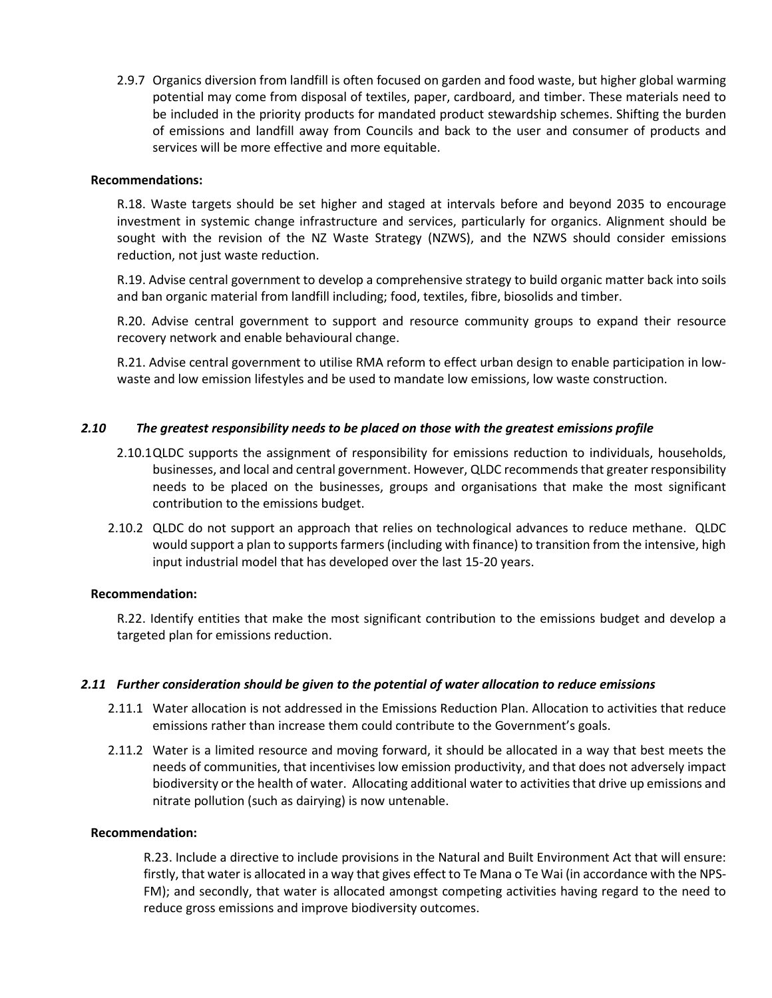2.9.7 Organics diversion from landfill is often focused on garden and food waste, but higher global warming potential may come from disposal of textiles, paper, cardboard, and timber. These materials need to be included in the priority products for mandated product stewardship schemes. Shifting the burden of emissions and landfill away from Councils and back to the user and consumer of products and services will be more effective and more equitable.

### **Recommendations:**

R.18. Waste targets should be set higher and staged at intervals before and beyond 2035 to encourage investment in systemic change infrastructure and services, particularly for organics. Alignment should be sought with the revision of the NZ Waste Strategy (NZWS), and the NZWS should consider emissions reduction, not just waste reduction.

R.19. Advise central government to develop a comprehensive strategy to build organic matter back into soils and ban organic material from landfill including; food, textiles, fibre, biosolids and timber.

R.20. Advise central government to support and resource community groups to expand their resource recovery network and enable behavioural change.

R.21. Advise central government to utilise RMA reform to effect urban design to enable participation in lowwaste and low emission lifestyles and be used to mandate low emissions, low waste construction.

### *2.10 The greatest responsibility needs to be placed on those with the greatest emissions profile*

- 2.10.1QLDC supports the assignment of responsibility for emissions reduction to individuals, households, businesses, and local and central government. However, QLDC recommends that greater responsibility needs to be placed on the businesses, groups and organisations that make the most significant contribution to the emissions budget.
- 2.10.2 QLDC do not support an approach that relies on technological advances to reduce methane. QLDC would support a plan to supports farmers (including with finance) to transition from the intensive, high input industrial model that has developed over the last 15-20 years.

#### **Recommendation:**

R.22. Identify entities that make the most significant contribution to the emissions budget and develop a targeted plan for emissions reduction.

#### *2.11 Further consideration should be given to the potential of water allocation to reduce emissions*

- 2.11.1 Water allocation is not addressed in the Emissions Reduction Plan. Allocation to activities that reduce emissions rather than increase them could contribute to the Government's goals.
- 2.11.2 Water is a limited resource and moving forward, it should be allocated in a way that best meets the needs of communities, that incentivises low emission productivity, and that does not adversely impact biodiversity or the health of water. Allocating additional water to activities that drive up emissions and nitrate pollution (such as dairying) is now untenable.

## **Recommendation:**

R.23. Include a directive to include provisions in the Natural and Built Environment Act that will ensure: firstly, that water is allocated in a way that gives effect to Te Mana o Te Wai (in accordance with the NPS-FM); and secondly, that water is allocated amongst competing activities having regard to the need to reduce gross emissions and improve biodiversity outcomes.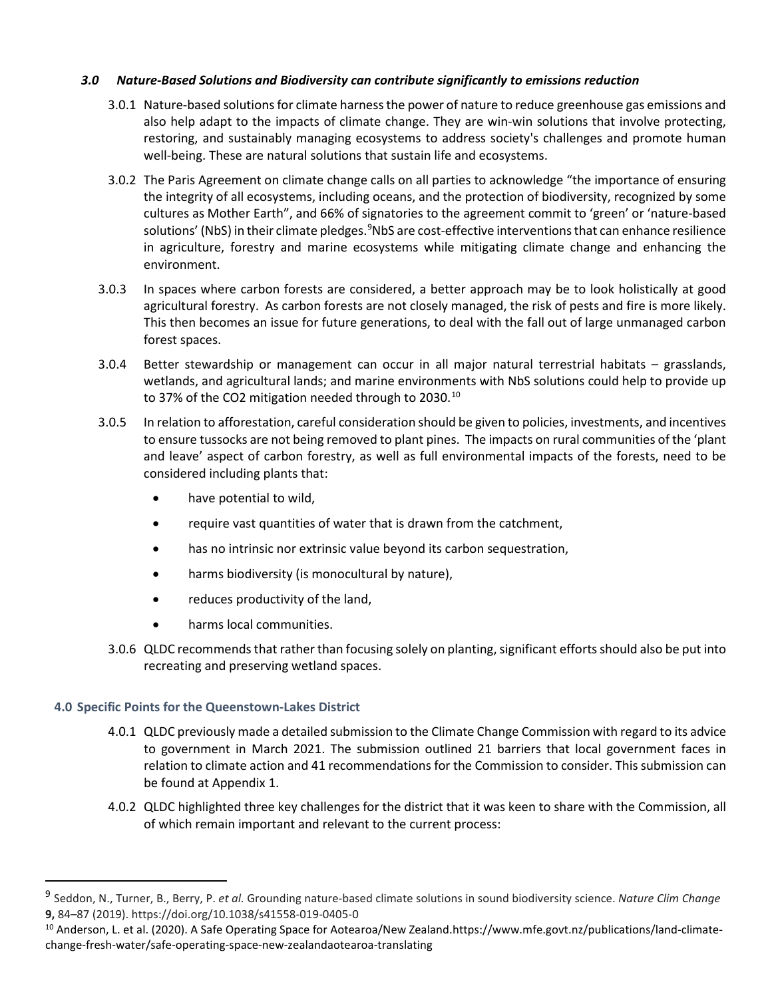# *3.0 Nature-Based Solutions and Biodiversity can contribute significantly to emissions reduction*

- 3.0.1 Nature-based solutions for climate harness the power of nature to reduce greenhouse gas emissions and also help adapt to the impacts of climate change. They are win-win solutions that involve protecting, restoring, and sustainably managing ecosystems to address society's challenges and promote human well-being. These are natural solutions that sustain life and ecosystems.
- 3.0.2 The Paris Agreement on climate change calls on all parties to acknowledge "the importance of ensuring the integrity of all ecosystems, including oceans, and the protection of biodiversity, recognized by some cultures as Mother Earth", and 66% of signatories to the agreement commit to 'green' or 'nature-based solutions' (NbS) in their climate pledges. <sup>[9](#page-8-0)</sup>NbS are cost-effective interventions that can enhance resilience in agriculture, forestry and marine ecosystems while mitigating climate change and enhancing the environment.
- 3.0.3 In spaces where carbon forests are considered, a better approach may be to look holistically at good agricultural forestry. As carbon forests are not closely managed, the risk of pests and fire is more likely. This then becomes an issue for future generations, to deal with the fall out of large unmanaged carbon forest spaces.
- 3.0.4 Better stewardship or management can occur in all major natural terrestrial habitats grasslands, wetlands, and agricultural lands; and marine environments with NbS solutions could help to provide up to 37% of the CO2 mitigation needed through to 2030.<sup>[10](#page-8-1)</sup>
- 3.0.5 In relation to afforestation, careful consideration should be given to policies, investments, and incentives to ensure tussocks are not being removed to plant pines. The impacts on rural communities of the 'plant and leave' aspect of carbon forestry, as well as full environmental impacts of the forests, need to be considered including plants that:
	- have potential to wild,
	- require vast quantities of water that is drawn from the catchment,
	- has no intrinsic nor extrinsic value beyond its carbon sequestration,
	- harms biodiversity (is monocultural by nature),
	- reduces productivity of the land,
	- harms local communities.
	- 3.0.6 QLDC recommends that rather than focusing solely on planting, significant efforts should also be put into recreating and preserving wetland spaces.

# **4.0 Specific Points for the Queenstown-Lakes District**

- 4.0.1 QLDC previously made a detailed submission to the Climate Change Commission with regard to its advice to government in March 2021. The submission outlined 21 barriers that local government faces in relation to climate action and 41 recommendations for the Commission to consider. This submission can be found at Appendix 1.
- 4.0.2 QLDC highlighted three key challenges for the district that it was keen to share with the Commission, all of which remain important and relevant to the current process:

<span id="page-8-0"></span><sup>9</sup> Seddon, N., Turner, B., Berry, P. *et al.* Grounding nature-based climate solutions in sound biodiversity science. *Nature Clim Change* **9,** 84–87 (2019). https://doi.org/10.1038/s41558-019-0405-0

<span id="page-8-1"></span><sup>&</sup>lt;sup>10</sup> Anderson, L. et al. (2020). A Safe Operating Space for Aotearoa/New Zealand.https://www.mfe.govt.nz/publications/land-climatechange-fresh-water/safe-operating-space-new-zealandaotearoa-translating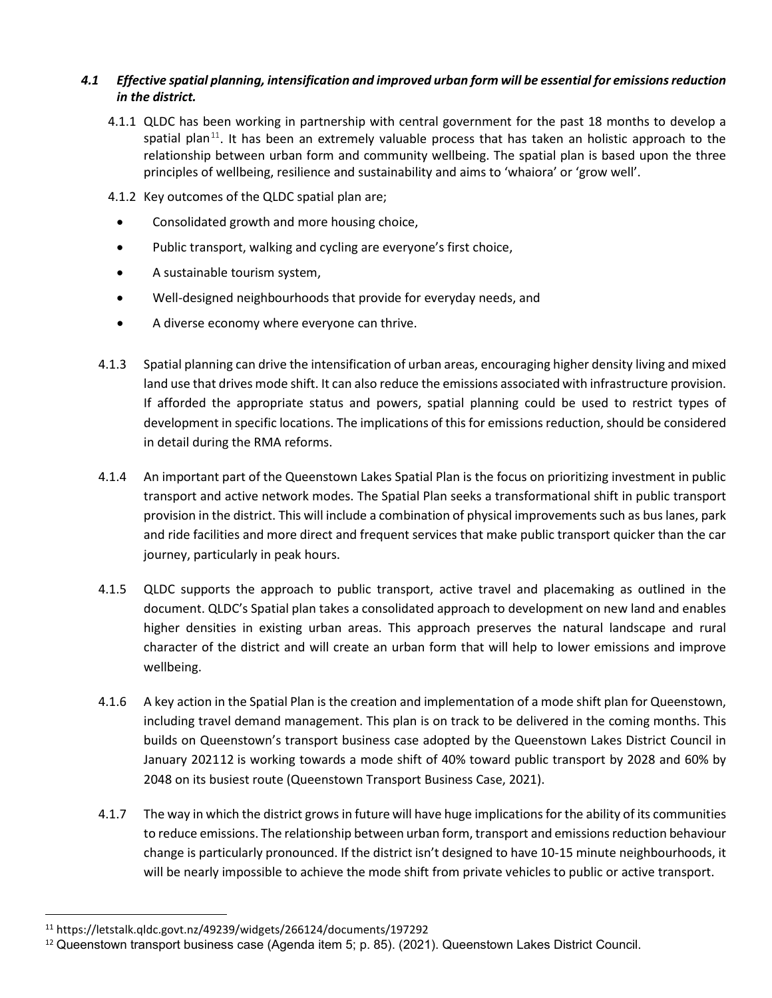# *4.1 Effective spatial planning, intensification and improved urban form will be essential for emissions reduction in the district.*

- 4.1.1 QLDC has been working in partnership with central government for the past 18 months to develop a spatial plan<sup>[11](#page-9-0)</sup>. It has been an extremely valuable process that has taken an holistic approach to the relationship between urban form and community wellbeing. The spatial plan is based upon the three principles of wellbeing, resilience and sustainability and aims to 'whaiora' or 'grow well'.
- 4.1.2 Key outcomes of the QLDC spatial plan are;
- Consolidated growth and more housing choice,
- Public transport, walking and cycling are everyone's first choice,
- A sustainable tourism system,
- Well-designed neighbourhoods that provide for everyday needs, and
- A diverse economy where everyone can thrive.
- 4.1.3 Spatial planning can drive the intensification of urban areas, encouraging higher density living and mixed land use that drives mode shift. It can also reduce the emissions associated with infrastructure provision. If afforded the appropriate status and powers, spatial planning could be used to restrict types of development in specific locations. The implications of this for emissions reduction, should be considered in detail during the RMA reforms.
- 4.1.4 An important part of the Queenstown Lakes Spatial Plan is the focus on prioritizing investment in public transport and active network modes. The Spatial Plan seeks a transformational shift in public transport provision in the district. This will include a combination of physical improvements such as bus lanes, park and ride facilities and more direct and frequent services that make public transport quicker than the car journey, particularly in peak hours.
- 4.1.5 QLDC supports the approach to public transport, active travel and placemaking as outlined in the document. QLDC's Spatial plan takes a consolidated approach to development on new land and enables higher densities in existing urban areas. This approach preserves the natural landscape and rural character of the district and will create an urban form that will help to lower emissions and improve wellbeing.
- 4.1.6 A key action in the Spatial Plan is the creation and implementation of a mode shift plan for Queenstown, including travel demand management. This plan is on track to be delivered in the coming months. This builds on Queenstown's transport business case adopted by the Queenstown Lakes District Council in January 202[112](#page-9-1) is working towards a mode shift of 40% toward public transport by 2028 and 60% by 2048 on its busiest route (Queenstown Transport Business Case, 2021).
- 4.1.7 The way in which the district grows in future will have huge implications for the ability of its communities to reduce emissions. The relationship between urban form, transport and emissions reduction behaviour change is particularly pronounced. If the district isn't designed to have 10-15 minute neighbourhoods, it will be nearly impossible to achieve the mode shift from private vehicles to public or active transport.

<span id="page-9-0"></span><sup>11</sup> https://letstalk.qldc.govt.nz/49239/widgets/266124/documents/197292

<span id="page-9-1"></span> $12$  Queenstown transport business case (Agenda item 5; p. 85). (2021). Queenstown Lakes District Council.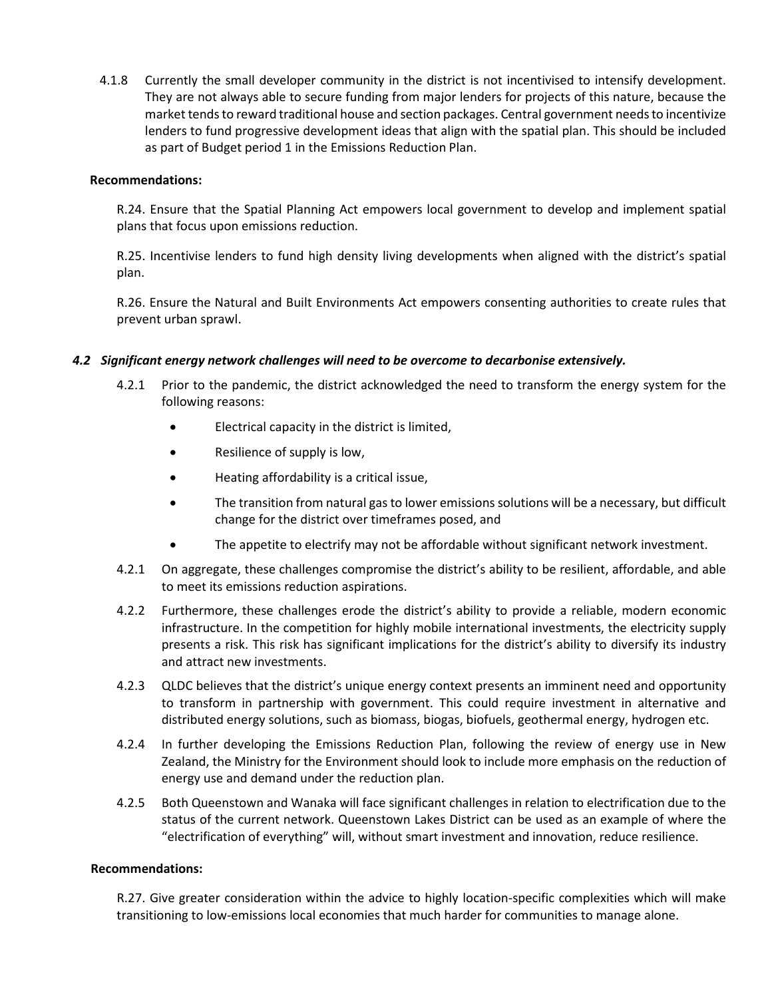4.1.8 Currently the small developer community in the district is not incentivised to intensify development. They are not always able to secure funding from major lenders for projects of this nature, because the market tends to reward traditional house and section packages. Central government needs to incentivize lenders to fund progressive development ideas that align with the spatial plan. This should be included as part of Budget period 1 in the Emissions Reduction Plan.

### **Recommendations:**

R.24. Ensure that the Spatial Planning Act empowers local government to develop and implement spatial plans that focus upon emissions reduction.

R.25. Incentivise lenders to fund high density living developments when aligned with the district's spatial plan.

R.26. Ensure the Natural and Built Environments Act empowers consenting authorities to create rules that prevent urban sprawl.

## *4.2 Significant energy network challenges will need to be overcome to decarbonise extensively.*

- 4.2.1 Prior to the pandemic, the district acknowledged the need to transform the energy system for the following reasons:
	- Electrical capacity in the district is limited,
	- Resilience of supply is low,
	- Heating affordability is a critical issue,
	- The transition from natural gas to lower emissions solutions will be a necessary, but difficult change for the district over timeframes posed, and
	- The appetite to electrify may not be affordable without significant network investment.
- 4.2.1 On aggregate, these challenges compromise the district's ability to be resilient, affordable, and able to meet its emissions reduction aspirations.
- 4.2.2 Furthermore, these challenges erode the district's ability to provide a reliable, modern economic infrastructure. In the competition for highly mobile international investments, the electricity supply presents a risk. This risk has significant implications for the district's ability to diversify its industry and attract new investments.
- 4.2.3 QLDC believes that the district's unique energy context presents an imminent need and opportunity to transform in partnership with government. This could require investment in alternative and distributed energy solutions, such as biomass, biogas, biofuels, geothermal energy, hydrogen etc.
- 4.2.4 In further developing the Emissions Reduction Plan, following the review of energy use in New Zealand, the Ministry for the Environment should look to include more emphasis on the reduction of energy use and demand under the reduction plan.
- 4.2.5 Both Queenstown and Wanaka will face significant challenges in relation to electrification due to the status of the current network. Queenstown Lakes District can be used as an example of where the "electrification of everything" will, without smart investment and innovation, reduce resilience.

#### **Recommendations:**

R.27. Give greater consideration within the advice to highly location-specific complexities which will make transitioning to low-emissions local economies that much harder for communities to manage alone.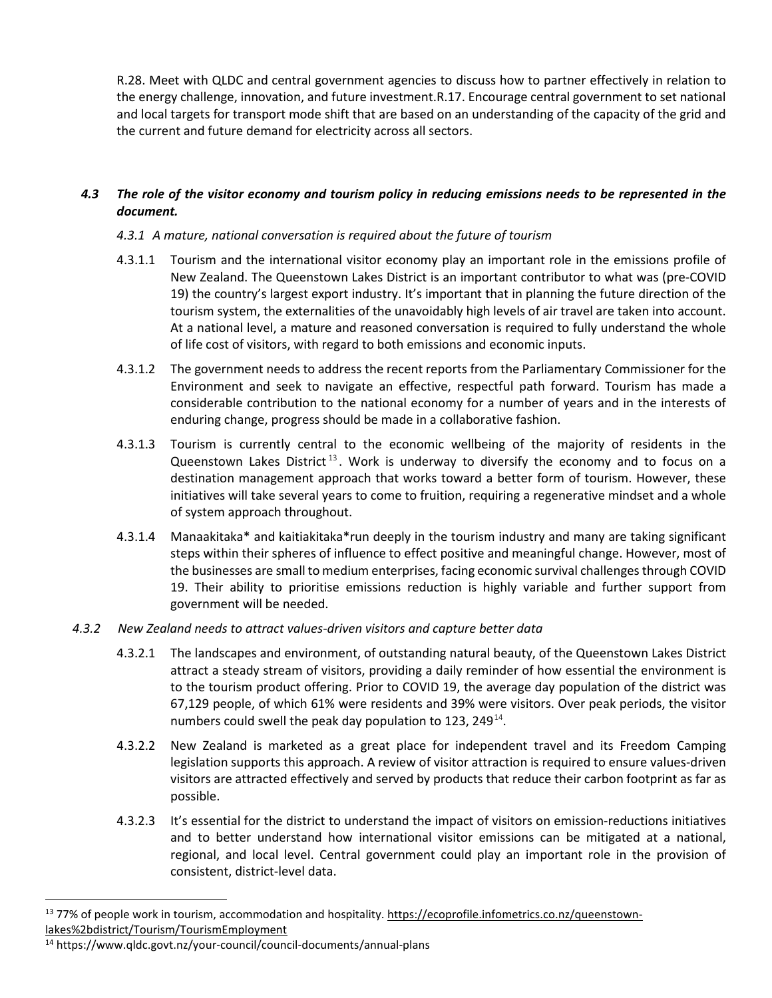R.28. Meet with QLDC and central government agencies to discuss how to partner effectively in relation to the energy challenge, innovation, and future investment.R.17. Encourage central government to set national and local targets for transport mode shift that are based on an understanding of the capacity of the grid and the current and future demand for electricity across all sectors.

# *4.3 The role of the visitor economy and tourism policy in reducing emissions needs to be represented in the document.*

# *4.3.1 A mature, national conversation is required about the future of tourism*

- 4.3.1.1 Tourism and the international visitor economy play an important role in the emissions profile of New Zealand. The Queenstown Lakes District is an important contributor to what was (pre-COVID 19) the country's largest export industry. It's important that in planning the future direction of the tourism system, the externalities of the unavoidably high levels of air travel are taken into account. At a national level, a mature and reasoned conversation is required to fully understand the whole of life cost of visitors, with regard to both emissions and economic inputs.
- 4.3.1.2 The government needs to address the recent reports from the Parliamentary Commissioner for the Environment and seek to navigate an effective, respectful path forward. Tourism has made a considerable contribution to the national economy for a number of years and in the interests of enduring change, progress should be made in a collaborative fashion.
- 4.3.1.3 Tourism is currently central to the economic wellbeing of the majority of residents in the Queenstown Lakes District<sup>[13](#page-11-0)</sup>. Work is underway to diversify the economy and to focus on a destination management approach that works toward a better form of tourism. However, these initiatives will take several years to come to fruition, requiring a regenerative mindset and a whole of system approach throughout.
- 4.3.1.4 Manaakitaka\* and kaitiakitaka\*run deeply in the tourism industry and many are taking significant steps within their spheres of influence to effect positive and meaningful change. However, most of the businesses are small to medium enterprises, facing economic survival challenges through COVID 19. Their ability to prioritise emissions reduction is highly variable and further support from government will be needed.
- *4.3.2 New Zealand needs to attract values-driven visitors and capture better data*
	- 4.3.2.1 The landscapes and environment, of outstanding natural beauty, of the Queenstown Lakes District attract a steady stream of visitors, providing a daily reminder of how essential the environment is to the tourism product offering. Prior to COVID 19, the average day population of the district was 67,129 people, of which 61% were residents and 39% were visitors. Over peak periods, the visitor numbers could swell the peak day population to 123, 249 $^{14}$  $^{14}$  $^{14}$ .
	- 4.3.2.2 New Zealand is marketed as a great place for independent travel and its Freedom Camping legislation supports this approach. A review of visitor attraction is required to ensure values-driven visitors are attracted effectively and served by products that reduce their carbon footprint as far as possible.
	- 4.3.2.3 It's essential for the district to understand the impact of visitors on emission-reductions initiatives and to better understand how international visitor emissions can be mitigated at a national, regional, and local level. Central government could play an important role in the provision of consistent, district-level data.

<span id="page-11-0"></span><sup>13 77%</sup> of people work in tourism, accommodation and hospitality[. https://ecoprofile.infometrics.co.nz/queenstown](https://ecoprofile.infometrics.co.nz/queenstown-lakes%2bdistrict/Tourism/TourismEmployment)[lakes%2bdistrict/Tourism/TourismEmployment](https://ecoprofile.infometrics.co.nz/queenstown-lakes%2bdistrict/Tourism/TourismEmployment)

<span id="page-11-1"></span><sup>14</sup> https://www.qldc.govt.nz/your-council/council-documents/annual-plans